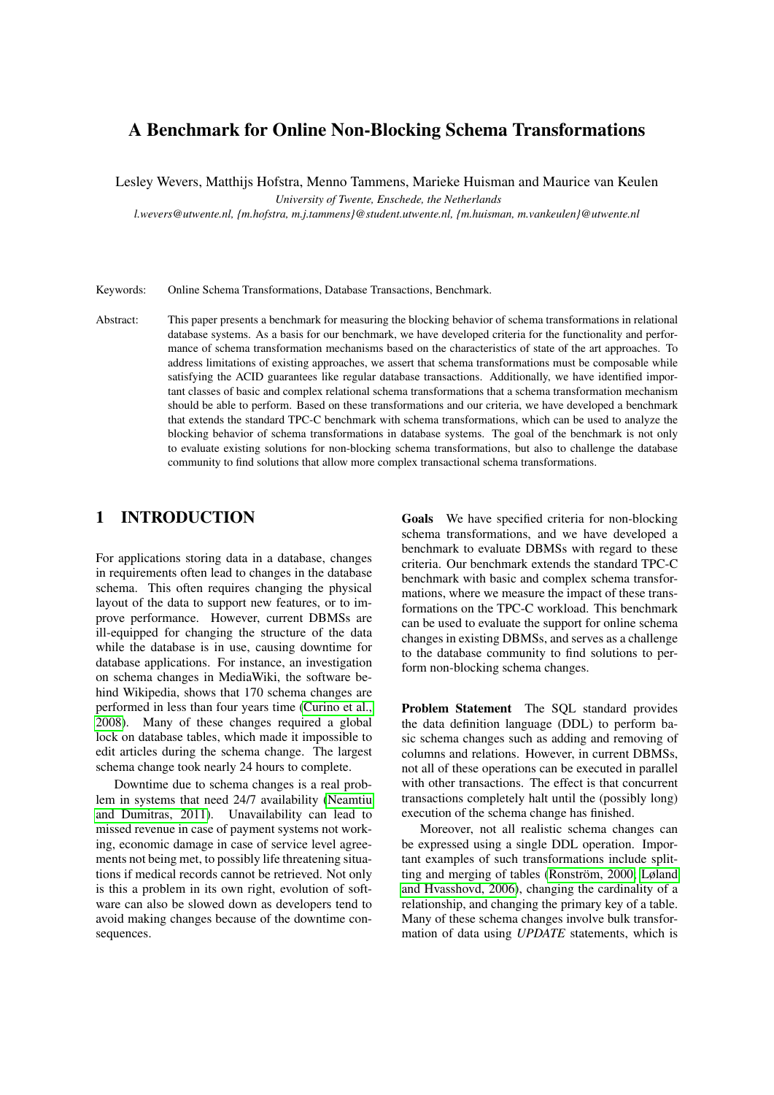# <span id="page-0-0"></span>A Benchmark for Online Non-Blocking Schema Transformations

Lesley Wevers, Matthijs Hofstra, Menno Tammens, Marieke Huisman and Maurice van Keulen

*University of Twente, Enschede, the Netherlands*

*l.wevers@utwente.nl, {m.hofstra, m.j.tammens}@student.utwente.nl, {m.huisman, m.vankeulen}@utwente.nl*

Keywords: Online Schema Transformations, Database Transactions, Benchmark.

Abstract: This paper presents a benchmark for measuring the blocking behavior of schema transformations in relational database systems. As a basis for our benchmark, we have developed criteria for the functionality and performance of schema transformation mechanisms based on the characteristics of state of the art approaches. To address limitations of existing approaches, we assert that schema transformations must be composable while satisfying the ACID guarantees like regular database transactions. Additionally, we have identified important classes of basic and complex relational schema transformations that a schema transformation mechanism should be able to perform. Based on these transformations and our criteria, we have developed a benchmark that extends the standard TPC-C benchmark with schema transformations, which can be used to analyze the blocking behavior of schema transformations in database systems. The goal of the benchmark is not only to evaluate existing solutions for non-blocking schema transformations, but also to challenge the database community to find solutions that allow more complex transactional schema transformations.

### 1 INTRODUCTION

For applications storing data in a database, changes in requirements often lead to changes in the database schema. This often requires changing the physical layout of the data to support new features, or to improve performance. However, current DBMSs are ill-equipped for changing the structure of the data while the database is in use, causing downtime for database applications. For instance, an investigation on schema changes in MediaWiki, the software behind Wikipedia, shows that 170 schema changes are performed in less than four years time [\(Curino et al.,](#page-10-0) [2008\)](#page-10-0). Many of these changes required a global lock on database tables, which made it impossible to edit articles during the schema change. The largest schema change took nearly 24 hours to complete.

Downtime due to schema changes is a real problem in systems that need 24/7 availability [\(Neamtiu](#page-10-1) [and Dumitras, 2011\)](#page-10-1). Unavailability can lead to missed revenue in case of payment systems not working, economic damage in case of service level agreements not being met, to possibly life threatening situations if medical records cannot be retrieved. Not only is this a problem in its own right, evolution of software can also be slowed down as developers tend to avoid making changes because of the downtime consequences.

Goals We have specified criteria for non-blocking schema transformations, and we have developed a benchmark to evaluate DBMSs with regard to these criteria. Our benchmark extends the standard TPC-C benchmark with basic and complex schema transformations, where we measure the impact of these transformations on the TPC-C workload. This benchmark can be used to evaluate the support for online schema changes in existing DBMSs, and serves as a challenge to the database community to find solutions to perform non-blocking schema changes.

Problem Statement The SQL standard provides the data definition language (DDL) to perform basic schema changes such as adding and removing of columns and relations. However, in current DBMSs, not all of these operations can be executed in parallel with other transactions. The effect is that concurrent transactions completely halt until the (possibly long) execution of the schema change has finished.

Moreover, not all realistic schema changes can be expressed using a single DDL operation. Important examples of such transformations include splitting and merging of tables [\(Ronström, 2000;](#page-10-2) [Løland](#page-10-3) [and Hvasshovd, 2006\)](#page-10-3), changing the cardinality of a relationship, and changing the primary key of a table. Many of these schema changes involve bulk transformation of data using *UPDATE* statements, which is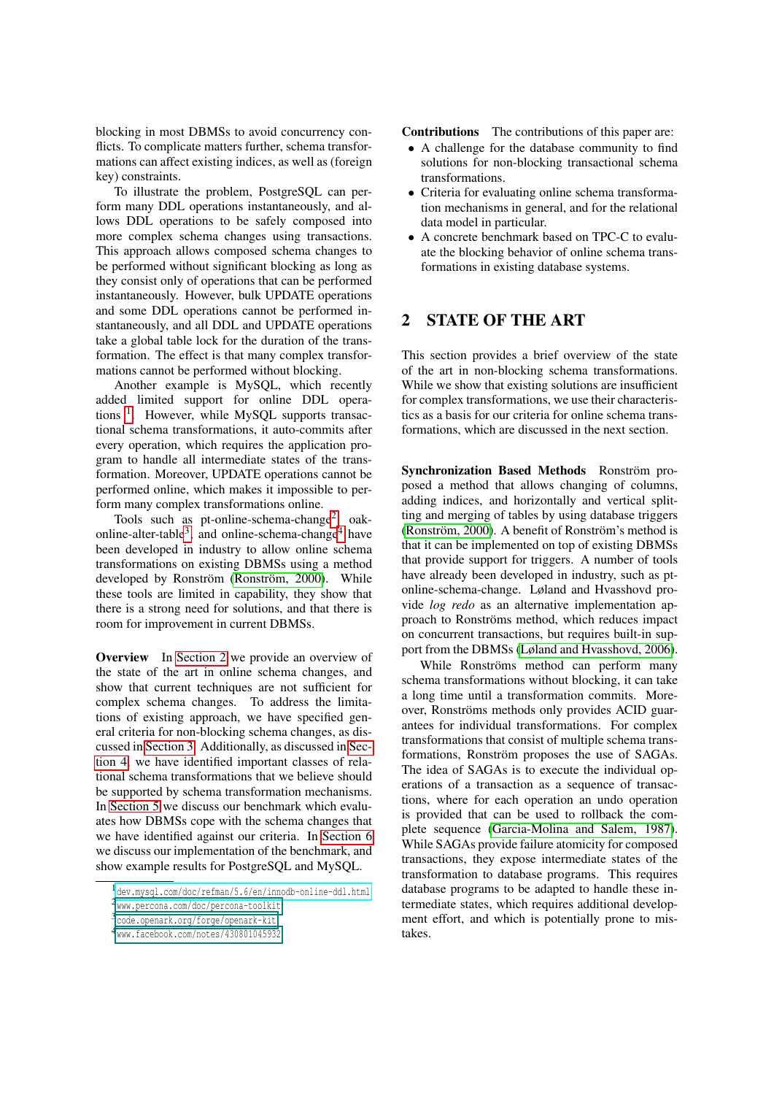blocking in most DBMSs to avoid concurrency conflicts. To complicate matters further, schema transformations can affect existing indices, as well as (foreign key) constraints.

To illustrate the problem, PostgreSQL can perform many DDL operations instantaneously, and allows DDL operations to be safely composed into more complex schema changes using transactions. This approach allows composed schema changes to be performed without significant blocking as long as they consist only of operations that can be performed instantaneously. However, bulk UPDATE operations and some DDL operations cannot be performed instantaneously, and all DDL and UPDATE operations take a global table lock for the duration of the transformation. The effect is that many complex transformations cannot be performed without blocking.

Another example is MySQL, which recently added limited support for online DDL opera-tions<sup>[1](#page-1-0)</sup>. However, while MySQL supports transactional schema transformations, it auto-commits after every operation, which requires the application program to handle all intermediate states of the transformation. Moreover, UPDATE operations cannot be performed online, which makes it impossible to perform many complex transformations online.

Tools such as pt-online-schema-change<sup>[2](#page-1-1)</sup>, oak-online-alter-table<sup>[3](#page-1-2)</sup>, and online-schema-change<sup>[4](#page-1-3)</sup> have been developed in industry to allow online schema transformations on existing DBMSs using a method developed by Ronström [\(Ronström, 2000\)](#page-10-2). While these tools are limited in capability, they show that there is a strong need for solutions, and that there is room for improvement in current DBMSs.

Overview In [Section 2](#page-1-4) we provide an overview of the state of the art in online schema changes, and show that current techniques are not sufficient for complex schema changes. To address the limitations of existing approach, we have specified general criteria for non-blocking schema changes, as discussed in [Section 3.](#page-2-0) Additionally, as discussed in [Sec](#page-4-0)[tion 4,](#page-4-0) we have identified important classes of relational schema transformations that we believe should be supported by schema transformation mechanisms. In [Section 5](#page-5-0) we discuss our benchmark which evaluates how DBMSs cope with the schema changes that we have identified against our criteria. In [Section 6](#page-9-0) we discuss our implementation of the benchmark, and show example results for PostgreSQL and MySQL.

Contributions The contributions of this paper are:

- A challenge for the database community to find solutions for non-blocking transactional schema transformations.
- Criteria for evaluating online schema transformation mechanisms in general, and for the relational data model in particular.
- A concrete benchmark based on TPC-C to evaluate the blocking behavior of online schema transformations in existing database systems.

## <span id="page-1-4"></span>2 STATE OF THE ART

This section provides a brief overview of the state of the art in non-blocking schema transformations. While we show that existing solutions are insufficient for complex transformations, we use their characteristics as a basis for our criteria for online schema transformations, which are discussed in the next section.

Synchronization Based Methods Ronström proposed a method that allows changing of columns, adding indices, and horizontally and vertical splitting and merging of tables by using database triggers [\(Ronström, 2000\)](#page-10-2). A benefit of Ronström's method is that it can be implemented on top of existing DBMSs that provide support for triggers. A number of tools have already been developed in industry, such as ptonline-schema-change. Løland and Hvasshovd provide *log redo* as an alternative implementation approach to Ronströms method, which reduces impact on concurrent transactions, but requires built-in support from the DBMSs [\(Løland and Hvasshovd, 2006\)](#page-10-3).

While Ronströms method can perform many schema transformations without blocking, it can take a long time until a transformation commits. Moreover, Ronströms methods only provides ACID guarantees for individual transformations. For complex transformations that consist of multiple schema transformations, Ronström proposes the use of SAGAs. The idea of SAGAs is to execute the individual operations of a transaction as a sequence of transactions, where for each operation an undo operation is provided that can be used to rollback the complete sequence [\(Garcia-Molina and Salem, 1987\)](#page-10-4). While SAGAs provide failure atomicity for composed transactions, they expose intermediate states of the transformation to database programs. This requires database programs to be adapted to handle these intermediate states, which requires additional development effort, and which is potentially prone to mistakes.

<span id="page-1-1"></span><span id="page-1-0"></span><sup>1</sup><dev.mysql.com/doc/refman/5.6/en/innodb-online-ddl.html> 2[www.percona.com/doc/percona-toolkit](#page-0-0)

<span id="page-1-2"></span><sup>3</sup>[code.openark.org/forge/openark-kit](#page-0-0)

<span id="page-1-3"></span><sup>4</sup>[www.facebook.com/notes/430801045932](#page-0-0)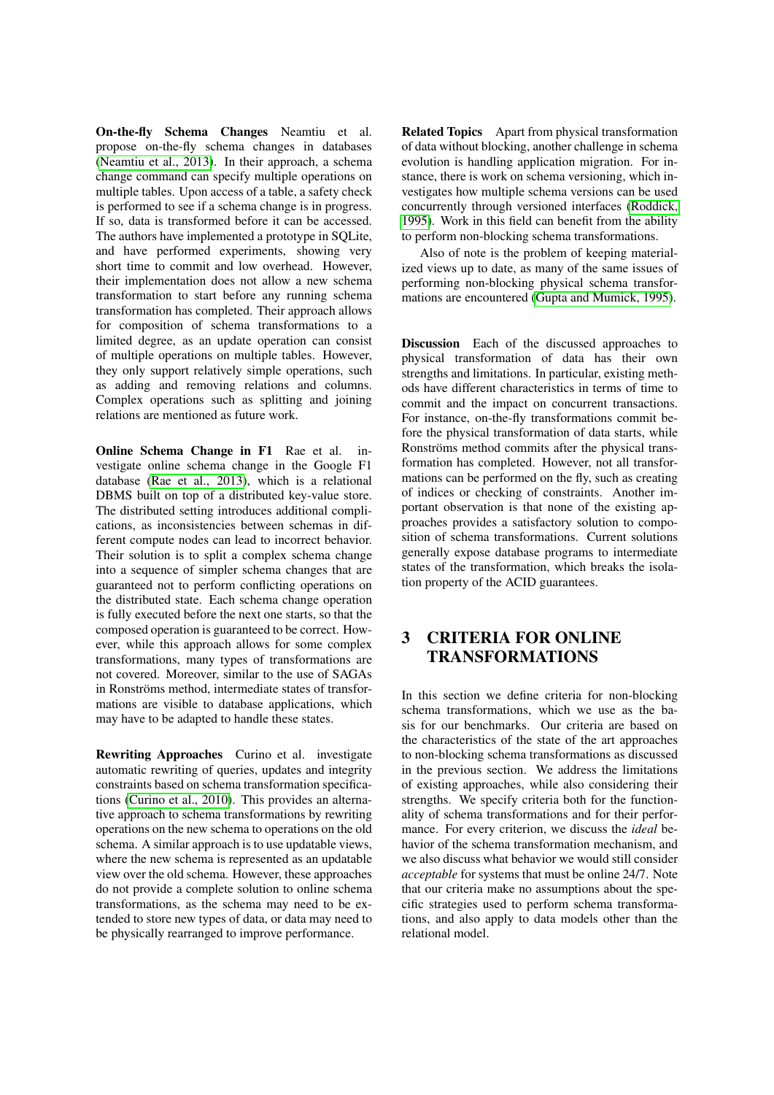On-the-fly Schema Changes Neamtiu et al. propose on-the-fly schema changes in databases [\(Neamtiu et al., 2013\)](#page-10-5). In their approach, a schema change command can specify multiple operations on multiple tables. Upon access of a table, a safety check is performed to see if a schema change is in progress. If so, data is transformed before it can be accessed. The authors have implemented a prototype in SQLite, and have performed experiments, showing very short time to commit and low overhead. However, their implementation does not allow a new schema transformation to start before any running schema transformation has completed. Their approach allows for composition of schema transformations to a limited degree, as an update operation can consist of multiple operations on multiple tables. However, they only support relatively simple operations, such as adding and removing relations and columns. Complex operations such as splitting and joining relations are mentioned as future work.

Online Schema Change in F1 Rae et al. investigate online schema change in the Google F1 database [\(Rae et al., 2013\)](#page-10-6), which is a relational DBMS built on top of a distributed key-value store. The distributed setting introduces additional complications, as inconsistencies between schemas in different compute nodes can lead to incorrect behavior. Their solution is to split a complex schema change into a sequence of simpler schema changes that are guaranteed not to perform conflicting operations on the distributed state. Each schema change operation is fully executed before the next one starts, so that the composed operation is guaranteed to be correct. However, while this approach allows for some complex transformations, many types of transformations are not covered. Moreover, similar to the use of SAGAs in Ronströms method, intermediate states of transformations are visible to database applications, which may have to be adapted to handle these states.

Rewriting Approaches Curino et al. investigate automatic rewriting of queries, updates and integrity constraints based on schema transformation specifications [\(Curino et al., 2010\)](#page-10-7). This provides an alternative approach to schema transformations by rewriting operations on the new schema to operations on the old schema. A similar approach is to use updatable views, where the new schema is represented as an updatable view over the old schema. However, these approaches do not provide a complete solution to online schema transformations, as the schema may need to be extended to store new types of data, or data may need to be physically rearranged to improve performance.

Related Topics Apart from physical transformation of data without blocking, another challenge in schema evolution is handling application migration. For instance, there is work on schema versioning, which investigates how multiple schema versions can be used concurrently through versioned interfaces [\(Roddick,](#page-10-8) [1995\)](#page-10-8). Work in this field can benefit from the ability to perform non-blocking schema transformations.

Also of note is the problem of keeping materialized views up to date, as many of the same issues of performing non-blocking physical schema transformations are encountered [\(Gupta and Mumick, 1995\)](#page-10-9).

Discussion Each of the discussed approaches to physical transformation of data has their own strengths and limitations. In particular, existing methods have different characteristics in terms of time to commit and the impact on concurrent transactions. For instance, on-the-fly transformations commit before the physical transformation of data starts, while Ronströms method commits after the physical transformation has completed. However, not all transformations can be performed on the fly, such as creating of indices or checking of constraints. Another important observation is that none of the existing approaches provides a satisfactory solution to composition of schema transformations. Current solutions generally expose database programs to intermediate states of the transformation, which breaks the isolation property of the ACID guarantees.

# <span id="page-2-0"></span>3 CRITERIA FOR ONLINE TRANSFORMATIONS

In this section we define criteria for non-blocking schema transformations, which we use as the basis for our benchmarks. Our criteria are based on the characteristics of the state of the art approaches to non-blocking schema transformations as discussed in the previous section. We address the limitations of existing approaches, while also considering their strengths. We specify criteria both for the functionality of schema transformations and for their performance. For every criterion, we discuss the *ideal* behavior of the schema transformation mechanism, and we also discuss what behavior we would still consider *acceptable* for systems that must be online 24/7. Note that our criteria make no assumptions about the specific strategies used to perform schema transformations, and also apply to data models other than the relational model.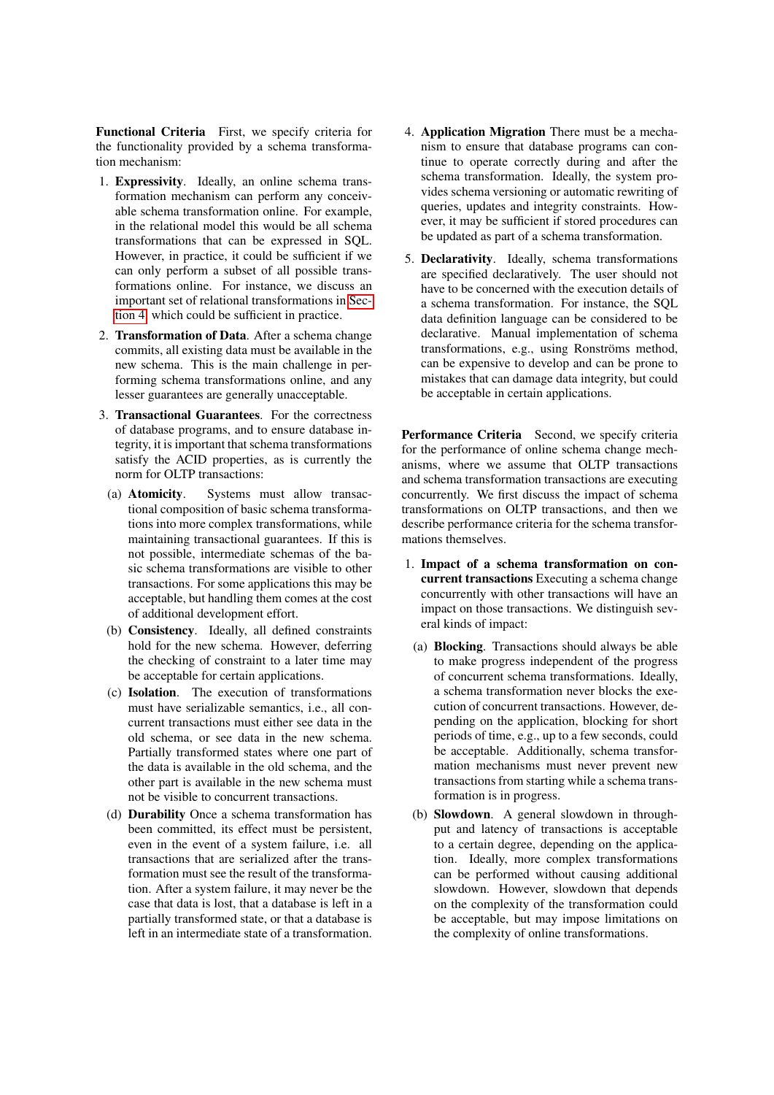Functional Criteria First, we specify criteria for the functionality provided by a schema transformation mechanism:

- 1. Expressivity. Ideally, an online schema transformation mechanism can perform any conceivable schema transformation online. For example, in the relational model this would be all schema transformations that can be expressed in SQL. However, in practice, it could be sufficient if we can only perform a subset of all possible transformations online. For instance, we discuss an important set of relational transformations in [Sec](#page-4-0)[tion 4,](#page-4-0) which could be sufficient in practice.
- 2. Transformation of Data. After a schema change commits, all existing data must be available in the new schema. This is the main challenge in performing schema transformations online, and any lesser guarantees are generally unacceptable.
- 3. Transactional Guarantees. For the correctness of database programs, and to ensure database integrity, it is important that schema transformations satisfy the ACID properties, as is currently the norm for OLTP transactions:
	- (a) Atomicity. Systems must allow transactional composition of basic schema transformations into more complex transformations, while maintaining transactional guarantees. If this is not possible, intermediate schemas of the basic schema transformations are visible to other transactions. For some applications this may be acceptable, but handling them comes at the cost of additional development effort.
	- (b) Consistency. Ideally, all defined constraints hold for the new schema. However, deferring the checking of constraint to a later time may be acceptable for certain applications.
	- (c) Isolation. The execution of transformations must have serializable semantics, i.e., all concurrent transactions must either see data in the old schema, or see data in the new schema. Partially transformed states where one part of the data is available in the old schema, and the other part is available in the new schema must not be visible to concurrent transactions.
	- (d) Durability Once a schema transformation has been committed, its effect must be persistent, even in the event of a system failure, i.e. all transactions that are serialized after the transformation must see the result of the transformation. After a system failure, it may never be the case that data is lost, that a database is left in a partially transformed state, or that a database is left in an intermediate state of a transformation.
- 4. Application Migration There must be a mechanism to ensure that database programs can continue to operate correctly during and after the schema transformation. Ideally, the system provides schema versioning or automatic rewriting of queries, updates and integrity constraints. However, it may be sufficient if stored procedures can be updated as part of a schema transformation.
- 5. Declarativity. Ideally, schema transformations are specified declaratively. The user should not have to be concerned with the execution details of a schema transformation. For instance, the SQL data definition language can be considered to be declarative. Manual implementation of schema transformations, e.g., using Ronströms method, can be expensive to develop and can be prone to mistakes that can damage data integrity, but could be acceptable in certain applications.

Performance Criteria Second, we specify criteria for the performance of online schema change mechanisms, where we assume that OLTP transactions and schema transformation transactions are executing concurrently. We first discuss the impact of schema transformations on OLTP transactions, and then we describe performance criteria for the schema transformations themselves.

- 1. Impact of a schema transformation on concurrent transactions Executing a schema change concurrently with other transactions will have an impact on those transactions. We distinguish several kinds of impact:
	- (a) Blocking. Transactions should always be able to make progress independent of the progress of concurrent schema transformations. Ideally, a schema transformation never blocks the execution of concurrent transactions. However, depending on the application, blocking for short periods of time, e.g., up to a few seconds, could be acceptable. Additionally, schema transformation mechanisms must never prevent new transactions from starting while a schema transformation is in progress.
	- (b) Slowdown. A general slowdown in throughput and latency of transactions is acceptable to a certain degree, depending on the application. Ideally, more complex transformations can be performed without causing additional slowdown. However, slowdown that depends on the complexity of the transformation could be acceptable, but may impose limitations on the complexity of online transformations.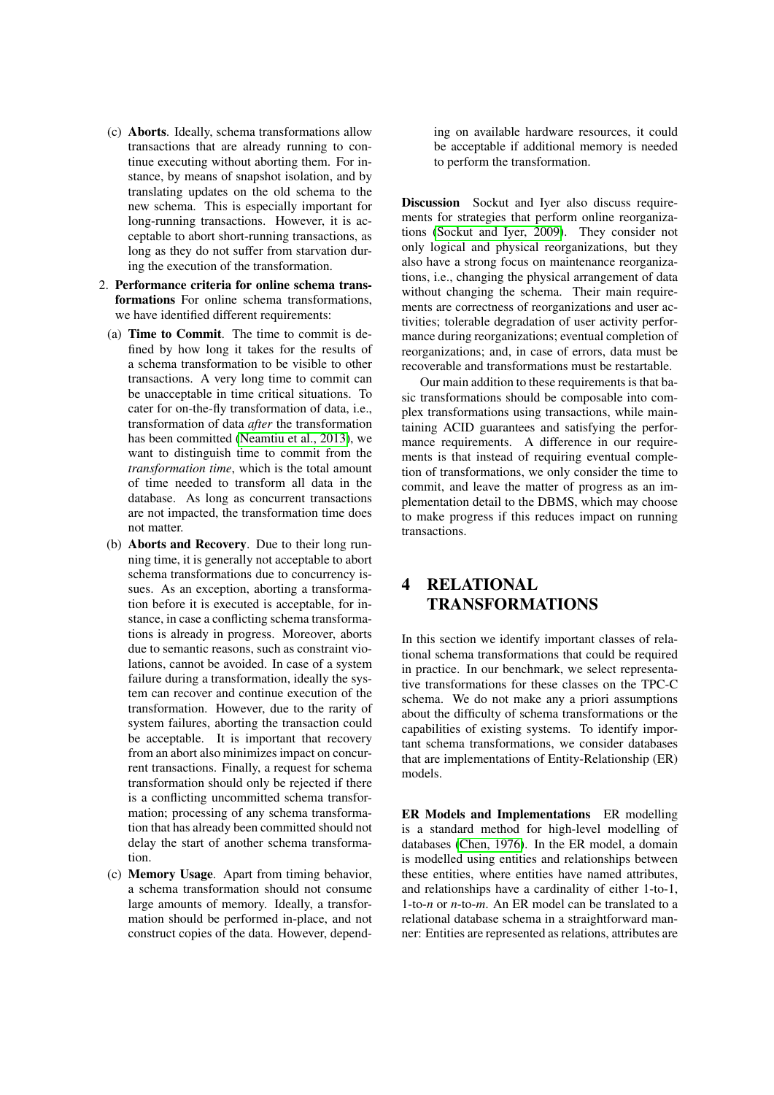- (c) Aborts. Ideally, schema transformations allow transactions that are already running to continue executing without aborting them. For instance, by means of snapshot isolation, and by translating updates on the old schema to the new schema. This is especially important for long-running transactions. However, it is acceptable to abort short-running transactions, as long as they do not suffer from starvation during the execution of the transformation.
- 2. Performance criteria for online schema transformations For online schema transformations, we have identified different requirements:
	- (a) Time to Commit. The time to commit is defined by how long it takes for the results of a schema transformation to be visible to other transactions. A very long time to commit can be unacceptable in time critical situations. To cater for on-the-fly transformation of data, i.e., transformation of data *after* the transformation has been committed [\(Neamtiu et al., 2013\)](#page-10-5), we want to distinguish time to commit from the *transformation time*, which is the total amount of time needed to transform all data in the database. As long as concurrent transactions are not impacted, the transformation time does not matter.
	- (b) Aborts and Recovery. Due to their long running time, it is generally not acceptable to abort schema transformations due to concurrency issues. As an exception, aborting a transformation before it is executed is acceptable, for instance, in case a conflicting schema transformations is already in progress. Moreover, aborts due to semantic reasons, such as constraint violations, cannot be avoided. In case of a system failure during a transformation, ideally the system can recover and continue execution of the transformation. However, due to the rarity of system failures, aborting the transaction could be acceptable. It is important that recovery from an abort also minimizes impact on concurrent transactions. Finally, a request for schema transformation should only be rejected if there is a conflicting uncommitted schema transformation; processing of any schema transformation that has already been committed should not delay the start of another schema transformation.
	- (c) Memory Usage. Apart from timing behavior, a schema transformation should not consume large amounts of memory. Ideally, a transformation should be performed in-place, and not construct copies of the data. However, depend-

ing on available hardware resources, it could be acceptable if additional memory is needed to perform the transformation.

Discussion Sockut and Iyer also discuss requirements for strategies that perform online reorganizations [\(Sockut and Iyer, 2009\)](#page-10-10). They consider not only logical and physical reorganizations, but they also have a strong focus on maintenance reorganizations, i.e., changing the physical arrangement of data without changing the schema. Their main requirements are correctness of reorganizations and user activities; tolerable degradation of user activity performance during reorganizations; eventual completion of reorganizations; and, in case of errors, data must be recoverable and transformations must be restartable.

Our main addition to these requirements is that basic transformations should be composable into complex transformations using transactions, while maintaining ACID guarantees and satisfying the performance requirements. A difference in our requirements is that instead of requiring eventual completion of transformations, we only consider the time to commit, and leave the matter of progress as an implementation detail to the DBMS, which may choose to make progress if this reduces impact on running transactions.

### <span id="page-4-0"></span>4 RELATIONAL TRANSFORMATIONS

In this section we identify important classes of relational schema transformations that could be required in practice. In our benchmark, we select representative transformations for these classes on the TPC-C schema. We do not make any a priori assumptions about the difficulty of schema transformations or the capabilities of existing systems. To identify important schema transformations, we consider databases that are implementations of Entity-Relationship (ER) models.

ER Models and Implementations ER modelling is a standard method for high-level modelling of databases [\(Chen, 1976\)](#page-10-11). In the ER model, a domain is modelled using entities and relationships between these entities, where entities have named attributes, and relationships have a cardinality of either 1-to-1, 1-to-*n* or *n*-to-*m*. An ER model can be translated to a relational database schema in a straightforward manner: Entities are represented as relations, attributes are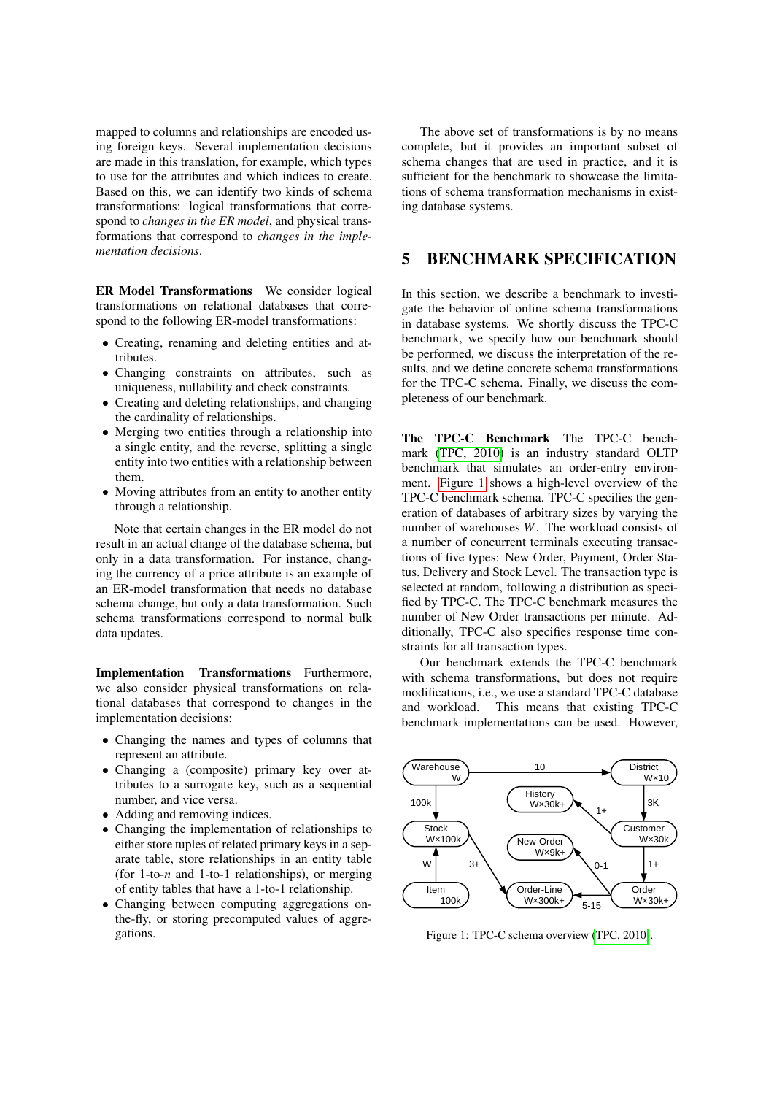mapped to columns and relationships are encoded using foreign keys. Several implementation decisions are made in this translation, for example, which types to use for the attributes and which indices to create. Based on this, we can identify two kinds of schema transformations: logical transformations that correspond to *changes in the ER model*, and physical transformations that correspond to *changes in the implementation decisions*.

ER Model Transformations We consider logical transformations on relational databases that correspond to the following ER-model transformations:

- Creating, renaming and deleting entities and attributes.
- Changing constraints on attributes, such as uniqueness, nullability and check constraints.
- Creating and deleting relationships, and changing the cardinality of relationships.
- Merging two entities through a relationship into a single entity, and the reverse, splitting a single entity into two entities with a relationship between them.
- Moving attributes from an entity to another entity through a relationship.

Note that certain changes in the ER model do not result in an actual change of the database schema, but only in a data transformation. For instance, changing the currency of a price attribute is an example of an ER-model transformation that needs no database schema change, but only a data transformation. Such schema transformations correspond to normal bulk data updates.

Implementation Transformations Furthermore, we also consider physical transformations on relational databases that correspond to changes in the implementation decisions:

- Changing the names and types of columns that represent an attribute.
- Changing a (composite) primary key over attributes to a surrogate key, such as a sequential number, and vice versa.
- Adding and removing indices.
- Changing the implementation of relationships to either store tuples of related primary keys in a separate table, store relationships in an entity table (for 1-to-*n* and 1-to-1 relationships), or merging of entity tables that have a 1-to-1 relationship.
- Changing between computing aggregations onthe-fly, or storing precomputed values of aggregations.

The above set of transformations is by no means complete, but it provides an important subset of schema changes that are used in practice, and it is sufficient for the benchmark to showcase the limitations of schema transformation mechanisms in existing database systems.

### <span id="page-5-0"></span>5 BENCHMARK SPECIFICATION

In this section, we describe a benchmark to investigate the behavior of online schema transformations in database systems. We shortly discuss the TPC-C benchmark, we specify how our benchmark should be performed, we discuss the interpretation of the results, and we define concrete schema transformations for the TPC-C schema. Finally, we discuss the completeness of our benchmark.

The TPC-C Benchmark The TPC-C benchmark [\(TPC, 2010\)](#page-10-12) is an industry standard OLTP benchmark that simulates an order-entry environment. [Figure 1](#page-5-1) shows a high-level overview of the TPC-C benchmark schema. TPC-C specifies the generation of databases of arbitrary sizes by varying the number of warehouses *W*. The workload consists of a number of concurrent terminals executing transactions of five types: New Order, Payment, Order Status, Delivery and Stock Level. The transaction type is selected at random, following a distribution as specified by TPC-C. The TPC-C benchmark measures the number of New Order transactions per minute. Additionally, TPC-C also specifies response time constraints for all transaction types.

Our benchmark extends the TPC-C benchmark with schema transformations, but does not require modifications, i.e., we use a standard TPC-C database and workload. This means that existing TPC-C benchmark implementations can be used. However,

<span id="page-5-1"></span>

Figure 1: TPC-C schema overview [\(TPC, 2010\)](#page-10-12).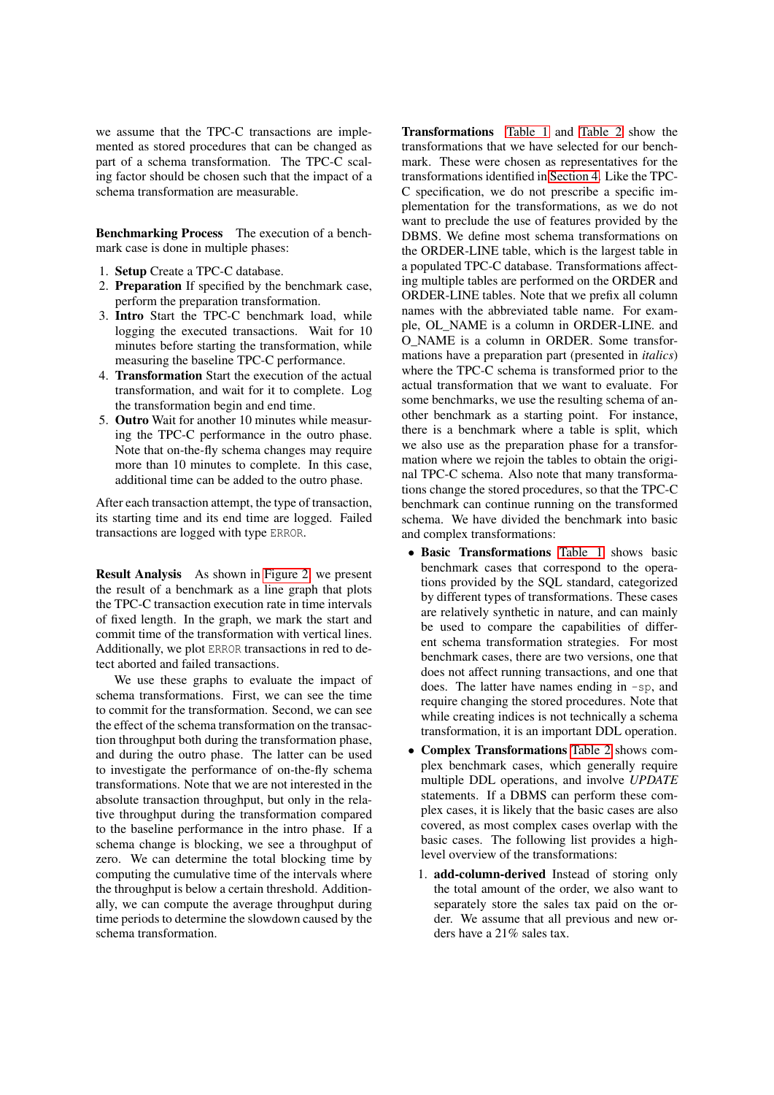we assume that the TPC-C transactions are implemented as stored procedures that can be changed as part of a schema transformation. The TPC-C scaling factor should be chosen such that the impact of a schema transformation are measurable.

Benchmarking Process The execution of a benchmark case is done in multiple phases:

- 1. Setup Create a TPC-C database.
- 2. Preparation If specified by the benchmark case, perform the preparation transformation.
- 3. Intro Start the TPC-C benchmark load, while logging the executed transactions. Wait for 10 minutes before starting the transformation, while measuring the baseline TPC-C performance.
- 4. Transformation Start the execution of the actual transformation, and wait for it to complete. Log the transformation begin and end time.
- 5. Outro Wait for another 10 minutes while measuring the TPC-C performance in the outro phase. Note that on-the-fly schema changes may require more than 10 minutes to complete. In this case, additional time can be added to the outro phase.

After each transaction attempt, the type of transaction, its starting time and its end time are logged. Failed transactions are logged with type ERROR.

Result Analysis As shown in [Figure 2,](#page-10-13) we present the result of a benchmark as a line graph that plots the TPC-C transaction execution rate in time intervals of fixed length. In the graph, we mark the start and commit time of the transformation with vertical lines. Additionally, we plot ERROR transactions in red to detect aborted and failed transactions.

We use these graphs to evaluate the impact of schema transformations. First, we can see the time to commit for the transformation. Second, we can see the effect of the schema transformation on the transaction throughput both during the transformation phase, and during the outro phase. The latter can be used to investigate the performance of on-the-fly schema transformations. Note that we are not interested in the absolute transaction throughput, but only in the relative throughput during the transformation compared to the baseline performance in the intro phase. If a schema change is blocking, we see a throughput of zero. We can determine the total blocking time by computing the cumulative time of the intervals where the throughput is below a certain threshold. Additionally, we can compute the average throughput during time periods to determine the slowdown caused by the schema transformation.

Transformations [Table 1](#page-7-0) and [Table 2](#page-8-0) show the transformations that we have selected for our benchmark. These were chosen as representatives for the transformations identified in [Section 4.](#page-4-0) Like the TPC-C specification, we do not prescribe a specific implementation for the transformations, as we do not want to preclude the use of features provided by the DBMS. We define most schema transformations on the ORDER-LINE table, which is the largest table in a populated TPC-C database. Transformations affecting multiple tables are performed on the ORDER and ORDER-LINE tables. Note that we prefix all column names with the abbreviated table name. For example, OL\_NAME is a column in ORDER-LINE. and O\_NAME is a column in ORDER. Some transformations have a preparation part (presented in *italics*) where the TPC-C schema is transformed prior to the actual transformation that we want to evaluate. For some benchmarks, we use the resulting schema of another benchmark as a starting point. For instance, there is a benchmark where a table is split, which we also use as the preparation phase for a transformation where we rejoin the tables to obtain the original TPC-C schema. Also note that many transformations change the stored procedures, so that the TPC-C benchmark can continue running on the transformed schema. We have divided the benchmark into basic and complex transformations:

- Basic Transformations [Table 1](#page-7-0) shows basic benchmark cases that correspond to the operations provided by the SQL standard, categorized by different types of transformations. These cases are relatively synthetic in nature, and can mainly be used to compare the capabilities of different schema transformation strategies. For most benchmark cases, there are two versions, one that does not affect running transactions, and one that does. The latter have names ending in -sp, and require changing the stored procedures. Note that while creating indices is not technically a schema transformation, it is an important DDL operation.
- Complex Transformations [Table 2](#page-8-0) shows complex benchmark cases, which generally require multiple DDL operations, and involve *UPDATE* statements. If a DBMS can perform these complex cases, it is likely that the basic cases are also covered, as most complex cases overlap with the basic cases. The following list provides a highlevel overview of the transformations:
	- 1. add-column-derived Instead of storing only the total amount of the order, we also want to separately store the sales tax paid on the order. We assume that all previous and new orders have a 21% sales tax.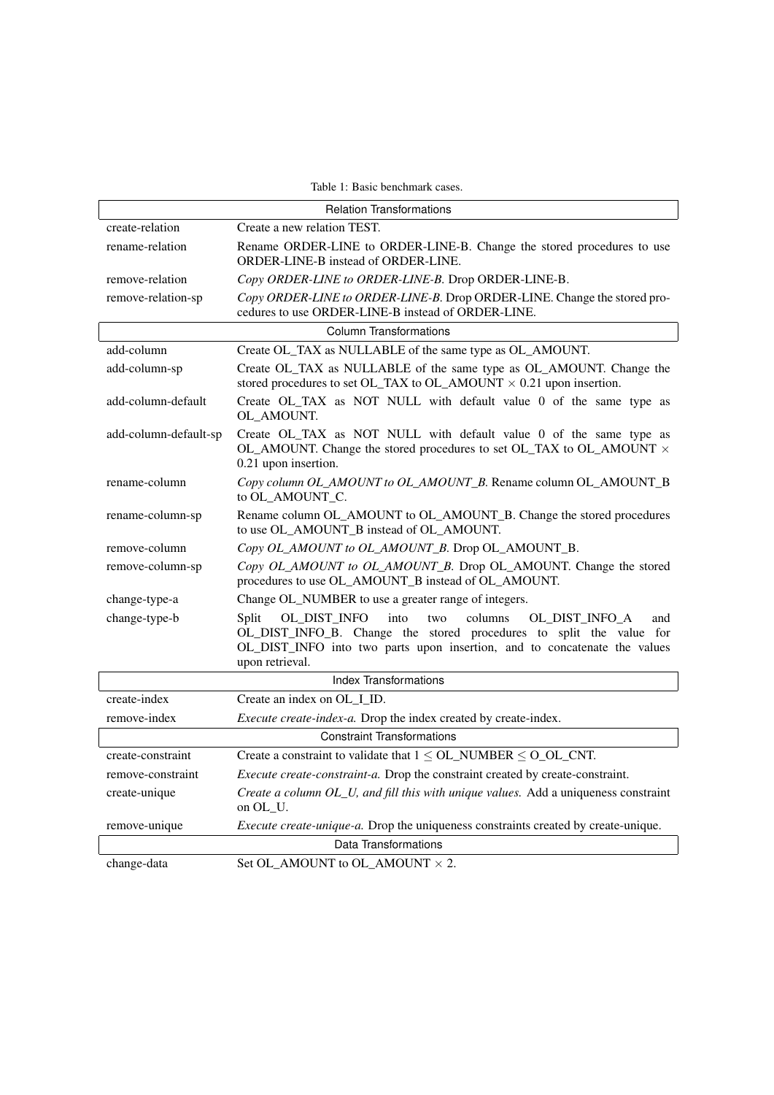<span id="page-7-0"></span>

| Table 1: Basic benchmark cases.   |                                                                                                                                                                                                                                                 |  |
|-----------------------------------|-------------------------------------------------------------------------------------------------------------------------------------------------------------------------------------------------------------------------------------------------|--|
| <b>Relation Transformations</b>   |                                                                                                                                                                                                                                                 |  |
| create-relation                   | Create a new relation TEST.                                                                                                                                                                                                                     |  |
| rename-relation                   | Rename ORDER-LINE to ORDER-LINE-B. Change the stored procedures to use<br>ORDER-LINE-B instead of ORDER-LINE.                                                                                                                                   |  |
| remove-relation                   | Copy ORDER-LINE to ORDER-LINE-B. Drop ORDER-LINE-B.                                                                                                                                                                                             |  |
| remove-relation-sp                | Copy ORDER-LINE to ORDER-LINE-B. Drop ORDER-LINE. Change the stored pro-<br>cedures to use ORDER-LINE-B instead of ORDER-LINE.                                                                                                                  |  |
| <b>Column Transformations</b>     |                                                                                                                                                                                                                                                 |  |
| add-column                        | Create OL_TAX as NULLABLE of the same type as OL_AMOUNT.                                                                                                                                                                                        |  |
| add-column-sp                     | Create OL_TAX as NULLABLE of the same type as OL_AMOUNT. Change the<br>stored procedures to set OL_TAX to OL_AMOUNT $\times$ 0.21 upon insertion.                                                                                               |  |
| add-column-default                | Create OL_TAX as NOT NULL with default value 0 of the same type as<br>OL AMOUNT.                                                                                                                                                                |  |
| add-column-default-sp             | Create OL_TAX as NOT NULL with default value 0 of the same type as<br>OL_AMOUNT. Change the stored procedures to set OL_TAX to OL_AMOUNT $\times$<br>0.21 upon insertion.                                                                       |  |
| rename-column                     | Copy column OL_AMOUNT to OL_AMOUNT_B. Rename column OL_AMOUNT_B<br>to OL AMOUNT C.                                                                                                                                                              |  |
| rename-column-sp                  | Rename column OL_AMOUNT to OL_AMOUNT_B. Change the stored procedures<br>to use OL_AMOUNT_B instead of OL_AMOUNT.                                                                                                                                |  |
| remove-column                     | Copy OL_AMOUNT to OL_AMOUNT_B. Drop OL_AMOUNT_B.                                                                                                                                                                                                |  |
| remove-column-sp                  | Copy OL_AMOUNT to OL_AMOUNT_B. Drop OL_AMOUNT. Change the stored<br>procedures to use OL_AMOUNT_B instead of OL_AMOUNT.                                                                                                                         |  |
| change-type-a                     | Change OL_NUMBER to use a greater range of integers.                                                                                                                                                                                            |  |
| change-type-b                     | OL_DIST_INFO<br>into<br>columns<br>Split<br>OL_DIST_INFO_A<br>two<br>and<br>OL_DIST_INFO_B. Change the stored procedures to split the value for<br>OL_DIST_INFO into two parts upon insertion, and to concatenate the values<br>upon retrieval. |  |
| <b>Index Transformations</b>      |                                                                                                                                                                                                                                                 |  |
| create-index                      | Create an index on OL I ID.                                                                                                                                                                                                                     |  |
| remove-index                      | Execute create-index-a. Drop the index created by create-index.                                                                                                                                                                                 |  |
| <b>Constraint Transformations</b> |                                                                                                                                                                                                                                                 |  |
| create-constraint                 | Create a constraint to validate that $1 \leq O L$ NUMBER $\leq O$ OL CNT.                                                                                                                                                                       |  |
| remove-constraint                 | Execute create-constraint-a. Drop the constraint created by create-constraint.                                                                                                                                                                  |  |
| create-unique                     | Create a column OL_U, and fill this with unique values. Add a uniqueness constraint<br>on OL_U.                                                                                                                                                 |  |
| remove-unique                     | <i>Execute create-unique-a.</i> Drop the uniqueness constraints created by create-unique.                                                                                                                                                       |  |
| Data Transformations              |                                                                                                                                                                                                                                                 |  |
| change-data                       | Set OL_AMOUNT to OL_AMOUNT $\times$ 2.                                                                                                                                                                                                          |  |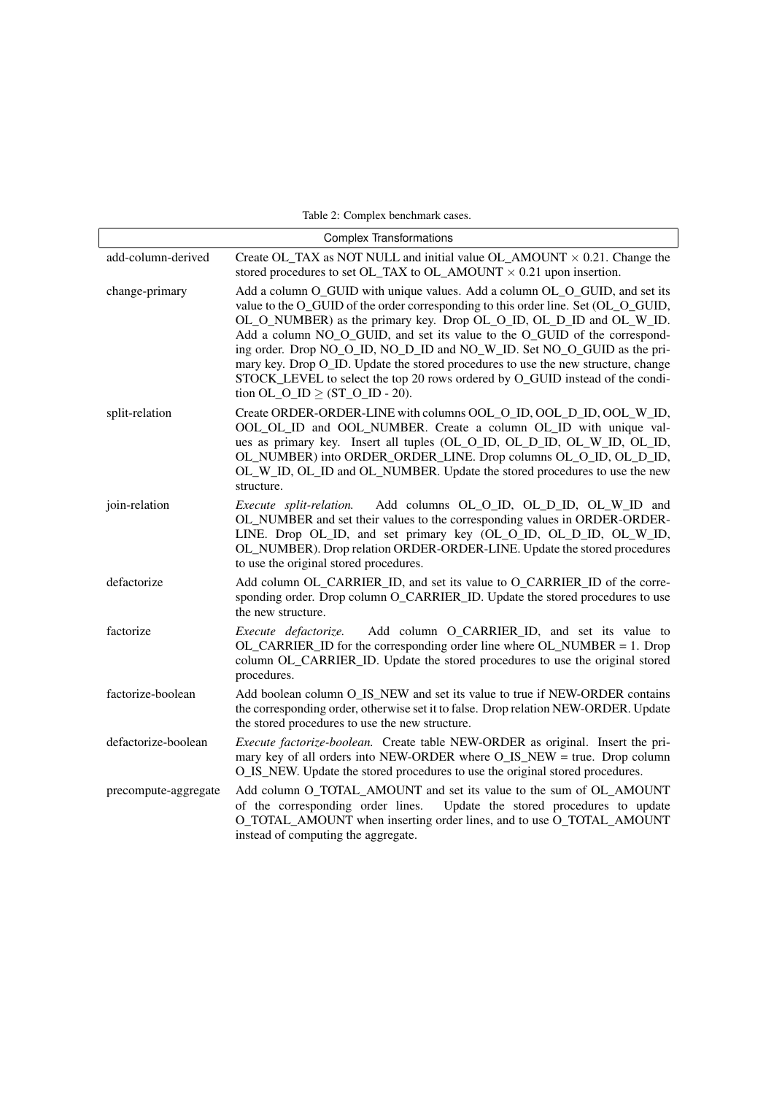<span id="page-8-0"></span>

| Table 2: Complex benchmark cases. |                                                                                                                                                                                                                                                                                                                                                                                                                                                                                                                                                                                                                 |  |
|-----------------------------------|-----------------------------------------------------------------------------------------------------------------------------------------------------------------------------------------------------------------------------------------------------------------------------------------------------------------------------------------------------------------------------------------------------------------------------------------------------------------------------------------------------------------------------------------------------------------------------------------------------------------|--|
| <b>Complex Transformations</b>    |                                                                                                                                                                                                                                                                                                                                                                                                                                                                                                                                                                                                                 |  |
| add-column-derived                | Create OL_TAX as NOT NULL and initial value OL_AMOUNT $\times$ 0.21. Change the<br>stored procedures to set OL_TAX to OL_AMOUNT $\times$ 0.21 upon insertion.                                                                                                                                                                                                                                                                                                                                                                                                                                                   |  |
| change-primary                    | Add a column O_GUID with unique values. Add a column OL_O_GUID, and set its<br>value to the O_GUID of the order corresponding to this order line. Set (OL_O_GUID,<br>OL_O_NUMBER) as the primary key. Drop OL_O_ID, OL_D_ID and OL_W_ID.<br>Add a column NO_O_GUID, and set its value to the O_GUID of the correspond-<br>ing order. Drop NO_O_ID, NO_D_ID and NO_W_ID. Set NO_O_GUID as the pri-<br>mary key. Drop O_ID. Update the stored procedures to use the new structure, change<br>STOCK_LEVEL to select the top 20 rows ordered by O_GUID instead of the condi-<br>tion OL_O_ID $\geq$ (ST_O_ID - 20). |  |
| split-relation                    | Create ORDER-ORDER-LINE with columns OOL_O_ID, OOL_D_ID, OOL_W_ID,<br>OOL_OL_ID and OOL_NUMBER. Create a column OL_ID with unique val-<br>ues as primary key. Insert all tuples (OL_O_ID, OL_D_ID, OL_W_ID, OL_ID,<br>OL_NUMBER) into ORDER_ORDER_LINE. Drop columns OL_O_ID, OL_D_ID,<br>OL_W_ID, OL_ID and OL_NUMBER. Update the stored procedures to use the new<br>structure.                                                                                                                                                                                                                               |  |
| join-relation                     | Execute split-relation.<br>Add columns OL_O_ID, OL_D_ID, OL_W_ID and<br>OL_NUMBER and set their values to the corresponding values in ORDER-ORDER-<br>LINE. Drop OL_ID, and set primary key (OL_O_ID, OL_D_ID, OL_W_ID,<br>OL_NUMBER). Drop relation ORDER-ORDER-LINE. Update the stored procedures<br>to use the original stored procedures.                                                                                                                                                                                                                                                                   |  |
| defactorize                       | Add column OL_CARRIER_ID, and set its value to O_CARRIER_ID of the corre-<br>sponding order. Drop column O_CARRIER_ID. Update the stored procedures to use<br>the new structure.                                                                                                                                                                                                                                                                                                                                                                                                                                |  |
| factorize                         | Add column O_CARRIER_ID, and set its value to<br>Execute defactorize.<br>OL_CARRIER_ID for the corresponding order line where OL_NUMBER = 1. Drop<br>column OL_CARRIER_ID. Update the stored procedures to use the original stored<br>procedures.                                                                                                                                                                                                                                                                                                                                                               |  |
| factorize-boolean                 | Add boolean column O_IS_NEW and set its value to true if NEW-ORDER contains<br>the corresponding order, otherwise set it to false. Drop relation NEW-ORDER. Update<br>the stored procedures to use the new structure.                                                                                                                                                                                                                                                                                                                                                                                           |  |
| defactorize-boolean               | Execute factorize-boolean. Create table NEW-ORDER as original. Insert the pri-<br>mary key of all orders into NEW-ORDER where O_IS_NEW = true. Drop column<br>O_IS_NEW. Update the stored procedures to use the original stored procedures.                                                                                                                                                                                                                                                                                                                                                                     |  |
| precompute-aggregate              | Add column O_TOTAL_AMOUNT and set its value to the sum of OL_AMOUNT<br>of the corresponding order lines.<br>Update the stored procedures to update<br>O_TOTAL_AMOUNT when inserting order lines, and to use O_TOTAL_AMOUNT<br>instead of computing the aggregate.                                                                                                                                                                                                                                                                                                                                               |  |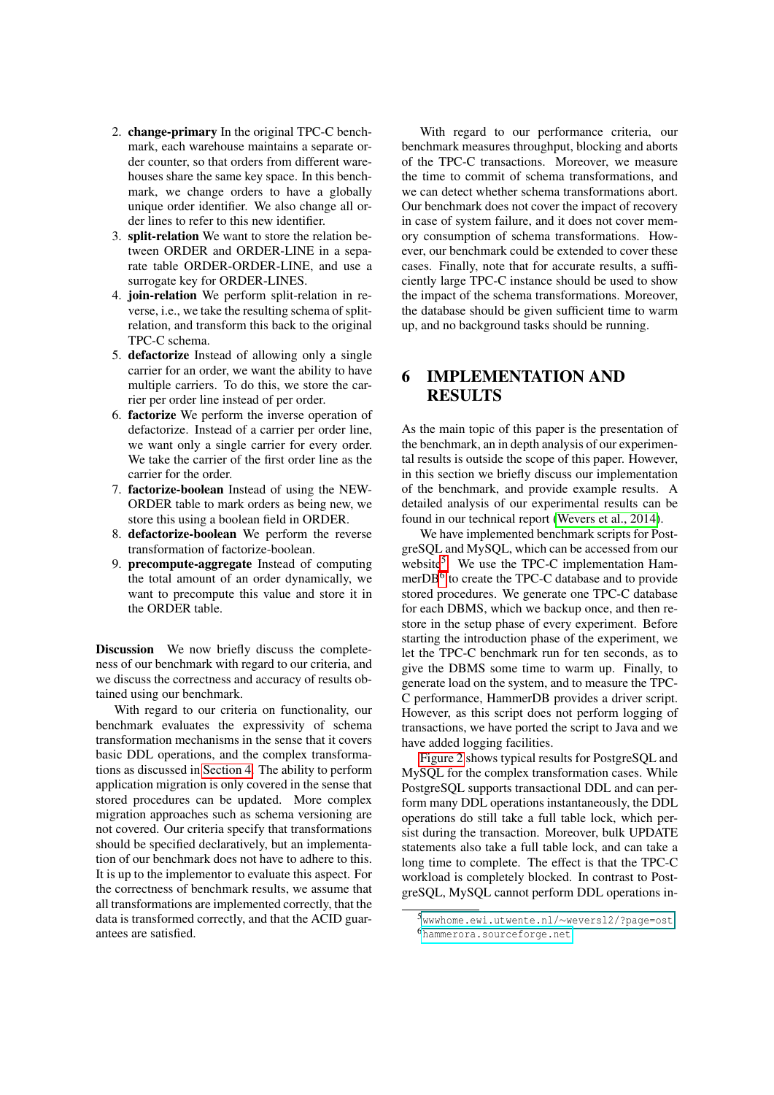- 2. change-primary In the original TPC-C benchmark, each warehouse maintains a separate order counter, so that orders from different warehouses share the same key space. In this benchmark, we change orders to have a globally unique order identifier. We also change all order lines to refer to this new identifier.
- 3. split-relation We want to store the relation between ORDER and ORDER-LINE in a separate table ORDER-ORDER-LINE, and use a surrogate key for ORDER-LINES.
- 4. join-relation We perform split-relation in reverse, i.e., we take the resulting schema of splitrelation, and transform this back to the original TPC-C schema.
- 5. defactorize Instead of allowing only a single carrier for an order, we want the ability to have multiple carriers. To do this, we store the carrier per order line instead of per order.
- 6. factorize We perform the inverse operation of defactorize. Instead of a carrier per order line, we want only a single carrier for every order. We take the carrier of the first order line as the carrier for the order.
- 7. factorize-boolean Instead of using the NEW-ORDER table to mark orders as being new, we store this using a boolean field in ORDER.
- 8. defactorize-boolean We perform the reverse transformation of factorize-boolean.
- 9. precompute-aggregate Instead of computing the total amount of an order dynamically, we want to precompute this value and store it in the ORDER table.

Discussion We now briefly discuss the completeness of our benchmark with regard to our criteria, and we discuss the correctness and accuracy of results obtained using our benchmark.

With regard to our criteria on functionality, our benchmark evaluates the expressivity of schema transformation mechanisms in the sense that it covers basic DDL operations, and the complex transformations as discussed in [Section 4.](#page-4-0) The ability to perform application migration is only covered in the sense that stored procedures can be updated. More complex migration approaches such as schema versioning are not covered. Our criteria specify that transformations should be specified declaratively, but an implementation of our benchmark does not have to adhere to this. It is up to the implementor to evaluate this aspect. For the correctness of benchmark results, we assume that all transformations are implemented correctly, that the data is transformed correctly, and that the ACID guarantees are satisfied.

With regard to our performance criteria, our benchmark measures throughput, blocking and aborts of the TPC-C transactions. Moreover, we measure the time to commit of schema transformations, and we can detect whether schema transformations abort. Our benchmark does not cover the impact of recovery in case of system failure, and it does not cover memory consumption of schema transformations. However, our benchmark could be extended to cover these cases. Finally, note that for accurate results, a sufficiently large TPC-C instance should be used to show the impact of the schema transformations. Moreover, the database should be given sufficient time to warm up, and no background tasks should be running.

# <span id="page-9-0"></span>6 IMPLEMENTATION AND RESULTS

As the main topic of this paper is the presentation of the benchmark, an in depth analysis of our experimental results is outside the scope of this paper. However, in this section we briefly discuss our implementation of the benchmark, and provide example results. A detailed analysis of our experimental results can be found in our technical report [\(Wevers et al., 2014\)](#page-10-14).

We have implemented benchmark scripts for PostgreSQL and MySQL, which can be accessed from our website<sup>[5](#page-9-1)</sup>. We use the TPC-C implementation Hammer $DB^6$  $DB^6$  to create the TPC-C database and to provide stored procedures. We generate one TPC-C database for each DBMS, which we backup once, and then restore in the setup phase of every experiment. Before starting the introduction phase of the experiment, we let the TPC-C benchmark run for ten seconds, as to give the DBMS some time to warm up. Finally, to generate load on the system, and to measure the TPC-C performance, HammerDB provides a driver script. However, as this script does not perform logging of transactions, we have ported the script to Java and we have added logging facilities.

[Figure 2](#page-10-13) shows typical results for PostgreSQL and MySQL for the complex transformation cases. While PostgreSQL supports transactional DDL and can perform many DDL operations instantaneously, the DDL operations do still take a full table lock, which persist during the transaction. Moreover, bulk UPDATE statements also take a full table lock, and can take a long time to complete. The effect is that the TPC-C workload is completely blocked. In contrast to PostgreSQL, MySQL cannot perform DDL operations in-

<span id="page-9-2"></span><span id="page-9-1"></span><sup>5</sup>[wwwhome.ewi.utwente.nl/](#page-0-0)∼weversl2/?page=ost <sup>6</sup><hammerora.sourceforge.net>